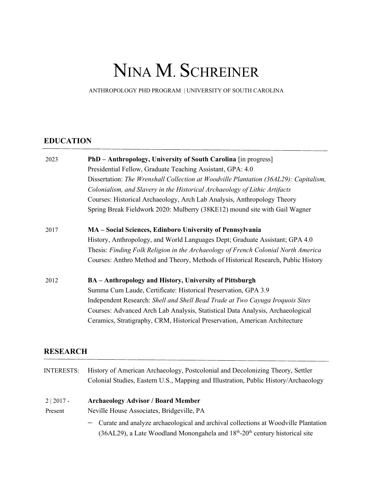# NINA M. SCHREINER

ANTHROPOLOGY PHD PROGRAM | UNIVERSITY OF SOUTH CAROLINA

## **EDUCATION**

| <b>PhD</b> – Anthropology, University of South Carolina [in progress]                |
|--------------------------------------------------------------------------------------|
| Presidential Fellow, Graduate Teaching Assistant, GPA: 4.0                           |
| Dissertation: The Wrenshall Collection at Woodville Plantation (36AL29): Capitalism, |
| Colonialism, and Slavery in the Historical Archaeology of Lithic Artifacts           |
| Courses: Historical Archaeology, Arch Lab Analysis, Anthropology Theory              |
| Spring Break Fieldwork 2020: Mulberry (38KE12) mound site with Gail Wagner           |
| MA - Social Sciences, Edinboro University of Pennsylvania                            |
| History, Anthropology, and World Languages Dept; Graduate Assistant; GPA 4.0         |
| Thesis: Finding Folk Religion in the Archaeology of French Colonial North America    |
| Courses: Anthro Method and Theory, Methods of Historical Research, Public History    |
| BA - Anthropology and History, University of Pittsburgh                              |
| Summa Cum Laude, Certificate: Historical Preservation, GPA 3.9                       |
| Independent Research: Shell and Shell Bead Trade at Two Cayuga Iroquois Sites        |
| Courses: Advanced Arch Lab Analysis, Statistical Data Analysis, Archaeological       |
| Ceramics, Stratigraphy, CRM, Historical Preservation, American Architecture          |
|                                                                                      |

# **RESEARCH**

| <b>INTERESTS:</b> | History of American Archaeology, Postcolonial and Decolonizing Theory, Settler             |
|-------------------|--------------------------------------------------------------------------------------------|
|                   | Colonial Studies, Eastern U.S., Mapping and Illustration, Public History/Archaeology       |
|                   |                                                                                            |
| $2 2017 -$        | <b>Archaeology Advisor / Board Member</b>                                                  |
| Present           | Neville House Associates, Bridgeville, PA                                                  |
|                   | - Curate and analyze archaeological and archival collections at Woodville Plantation       |
|                   | (36AL29), a Late Woodland Monongahela and $18th$ -20 <sup>th</sup> century historical site |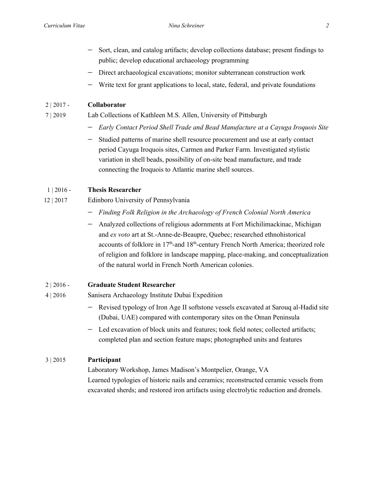- 
- Sort, clean, and catalog artifacts; develop collections database; present findings to public; develop educational archaeology programming
- − Direct archaeological excavations; monitor subterranean construction work
- Write text for grant applications to local, state, federal, and private foundations

## 2 | 2017 - **Collaborator**

## 7 | 2019 Lab Collections of Kathleen M.S. Allen, University of Pittsburgh

- − *Early Contact Period Shell Trade and Bead Manufacture at a Cayuga Iroquois Site*
- Studied patterns of marine shell resource procurement and use at early contact period Cayuga Iroquois sites, Carmen and Parker Farm. Investigated stylistic variation in shell beads, possibility of on-site bead manufacture, and trade connecting the Iroquois to Atlantic marine shell sources.

## 1 | 2016 - **Thesis Researcher**

- 12 | 2017 Edinboro University of Pennsylvania
	- − *Finding Folk Religion in the Archaeology of French Colonial North America*
	- − Analyzed collections of religious adornments at Fort Michilimackinac, Michigan and *ex voto* art at St.-Anne-de-Beaupre, Quebec; researched ethnohistorical accounts of folklore in 17<sup>th</sup>-and 18<sup>th</sup>-century French North America; theorized role of religion and folklore in landscape mapping, place-making, and conceptualization of the natural world in French North American colonies.

## 2 | 2016 - **Graduate Student Researcher**

- 4 | 2016 Sanisera Archaeology Institute Dubai Expedition
	- Revised typology of Iron Age II softstone vessels excavated at Sarouq al-Hadid site (Dubai, UAE) compared with contemporary sites on the Oman Peninsula
	- − Led excavation of block units and features; took field notes; collected artifacts; completed plan and section feature maps; photographed units and features

## 3 | 2015 **Participant**

Laboratory Workshop, James Madison's Montpelier, Orange, VA Learned typologies of historic nails and ceramics; reconstructed ceramic vessels from excavated sherds; and restored iron artifacts using electrolytic reduction and dremels.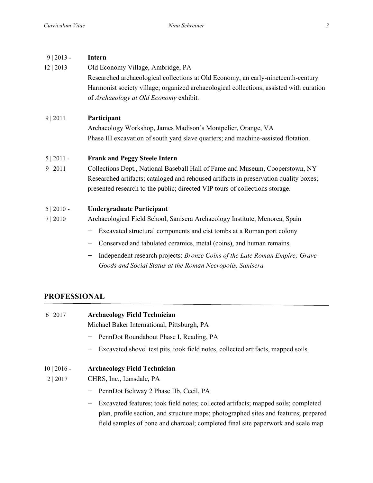## 9 | 2013 - **Intern**

12 | 2013 Old Economy Village, Ambridge, PA Researched archaeological collections at Old Economy, an early-nineteenth-century Harmonist society village; organized archaeological collections; assisted with curation of *Archaeology at Old Economy* exhibit.

## 9 | 2011 **Participant**

Archaeology Workshop, James Madison's Montpelier, Orange, VA Phase III excavation of south yard slave quarters; and machine-assisted flotation.

### 5 | 2011 - **Frank and Peggy Steele Intern**

9 | 2011 Collections Dept., National Baseball Hall of Fame and Museum, Cooperstown, NY Researched artifacts; cataloged and rehoused artifacts in preservation quality boxes; presented research to the public; directed VIP tours of collections storage.

## 5 | 2010 - **Undergraduate Participant**

- 7 | 2010 Archaeological Field School, Sanisera Archaeology Institute, Menorca, Spain
	- Excavated structural components and cist tombs at a Roman port colony
	- − Conserved and tabulated ceramics, metal (coins), and human remains
	- − Independent research projects: *Bronze Coins of the Late Roman Empire; Grave Goods and Social Status at the Roman Necropolis, Sanisera*

## **PROFESSIONAL**

- 6 | 2017 **Archaeology Field Technician** Michael Baker International, Pittsburgh, PA PennDot Roundabout Phase I, Reading, PA − Excavated shovel test pits, took field notes, collected artifacts, mapped soils 10 | 2016 - **Archaeology Field Technician** 2 | 2017 CHRS, Inc., Lansdale, PA PennDot Beltway 2 Phase IIb, Cecil, PA
	- Excavated features; took field notes; collected artifacts; mapped soils; completed plan, profile section, and structure maps; photographed sites and features; prepared field samples of bone and charcoal; completed final site paperwork and scale map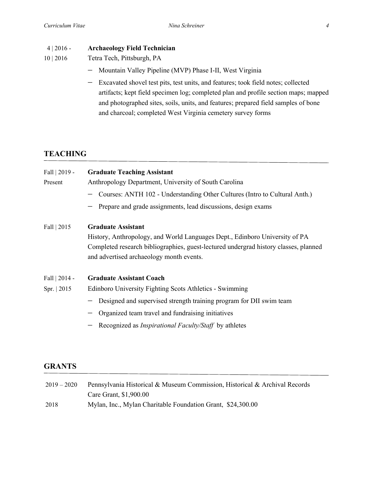## 4 | 2016 - **Archaeology Field Technician**

- 10 | 2016 Tetra Tech, Pittsburgh, PA
	- − Mountain Valley Pipeline (MVP) Phase I-II, West Virginia
	- − Excavated shovel test pits, test units, and features; took field notes; collected artifacts; kept field specimen log; completed plan and profile section maps; mapped and photographed sites, soils, units, and features; prepared field samples of bone and charcoal; completed West Virginia cemetery survey forms

## **TEACHING**

| <b>Graduate Teaching Assistant</b><br>Anthropology Department, University of South Carolina<br>Courses: ANTH 102 - Understanding Other Cultures (Intro to Cultural Anth.)<br>Prepare and grade assignments, lead discussions, design exams          |
|-----------------------------------------------------------------------------------------------------------------------------------------------------------------------------------------------------------------------------------------------------|
| <b>Graduate Assistant</b><br>History, Anthropology, and World Languages Dept., Edinboro University of PA<br>Completed research bibliographies, guest-lectured undergrad history classes, planned<br>and advertised archaeology month events.        |
| <b>Graduate Assistant Coach</b>                                                                                                                                                                                                                     |
| Edinboro University Fighting Scots Athletics - Swimming<br>Designed and supervised strength training program for DII swim team<br>Organized team travel and fundraising initiatives<br>Recognized as <i>Inspirational Faculty/Staff</i> by athletes |
|                                                                                                                                                                                                                                                     |

## **GRANTS**

| $2019 - 2020$ | Pennsylvania Historical & Museum Commission, Historical & Archival Records |
|---------------|----------------------------------------------------------------------------|
|               | Care Grant, \$1,900.00                                                     |
| 2018          | Mylan, Inc., Mylan Charitable Foundation Grant, \$24,300.00                |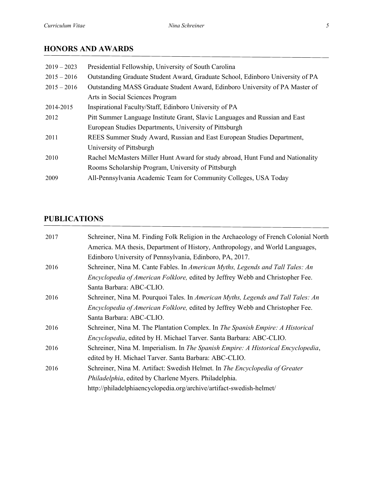# **HONORS AND AWARDS**

| Presidential Fellowship, University of South Carolina                          |
|--------------------------------------------------------------------------------|
| Outstanding Graduate Student Award, Graduate School, Edinboro University of PA |
| Outstanding MASS Graduate Student Award, Edinboro University of PA Master of   |
| Arts in Social Sciences Program                                                |
| Inspirational Faculty/Staff, Edinboro University of PA                         |
| Pitt Summer Language Institute Grant, Slavic Languages and Russian and East    |
| European Studies Departments, University of Pittsburgh                         |
| REES Summer Study Award, Russian and East European Studies Department,         |
| University of Pittsburgh                                                       |
| Rachel McMasters Miller Hunt Award for study abroad, Hunt Fund and Nationality |
| Rooms Scholarship Program, University of Pittsburgh                            |
| All-Pennsylvania Academic Team for Community Colleges, USA Today               |
|                                                                                |

## **PUBLICATIONS**

| 2017 | Schreiner, Nina M. Finding Folk Religion in the Archaeology of French Colonial North |
|------|--------------------------------------------------------------------------------------|
|      | America. MA thesis, Department of History, Anthropology, and World Languages,        |
|      | Edinboro University of Pennsylvania, Edinboro, PA, 2017.                             |
| 2016 | Schreiner, Nina M. Cante Fables. In American Myths, Legends and Tall Tales: An       |
|      | Encyclopedia of American Folklore, edited by Jeffrey Webb and Christopher Fee.       |
|      | Santa Barbara: ABC-CLIO.                                                             |
| 2016 | Schreiner, Nina M. Pourquoi Tales. In American Myths, Legends and Tall Tales: An     |
|      | Encyclopedia of American Folklore, edited by Jeffrey Webb and Christopher Fee.       |
|      | Santa Barbara: ABC-CLIO.                                                             |
| 2016 | Schreiner, Nina M. The Plantation Complex. In The Spanish Empire: A Historical       |
|      | Encyclopedia, edited by H. Michael Tarver. Santa Barbara: ABC-CLIO.                  |
| 2016 | Schreiner, Nina M. Imperialism. In The Spanish Empire: A Historical Encyclopedia,    |
|      | edited by H. Michael Tarver. Santa Barbara: ABC-CLIO.                                |
| 2016 | Schreiner, Nina M. Artifact: Swedish Helmet. In The Encyclopedia of Greater          |
|      | Philadelphia, edited by Charlene Myers. Philadelphia.                                |
|      | http://philadelphiaencyclopedia.org/archive/artifact-swedish-helmet/                 |
|      |                                                                                      |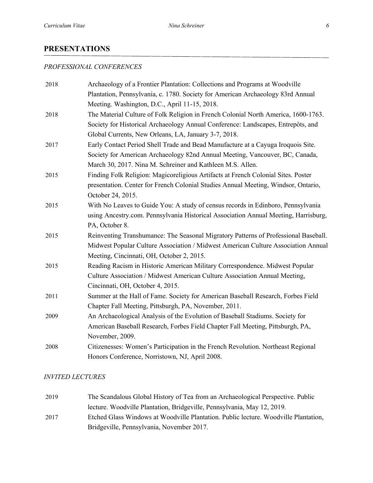### **PRESENTATIONS**

#### *PROFESSIONAL CONFERENCES*

| 2018 | Archaeology of a Frontier Plantation: Collections and Programs at Woodville         |
|------|-------------------------------------------------------------------------------------|
|      | Plantation, Pennsylvania, c. 1780. Society for American Archaeology 83rd Annual     |
|      | Meeting. Washington, D.C., April 11-15, 2018.                                       |
| 2018 | The Material Culture of Folk Religion in French Colonial North America, 1600-1763.  |
|      | Society for Historical Archaeology Annual Conference: Landscapes, Entrepôts, and    |
|      | Global Currents, New Orleans, LA, January 3-7, 2018.                                |
| 2017 | Early Contact Period Shell Trade and Bead Manufacture at a Cayuga Iroquois Site.    |
|      | Society for American Archaeology 82nd Annual Meeting, Vancouver, BC, Canada,        |
|      | March 30, 2017. Nina M. Schreiner and Kathleen M.S. Allen.                          |
| 2015 | Finding Folk Religion: Magicoreligious Artifacts at French Colonial Sites. Poster   |
|      | presentation. Center for French Colonial Studies Annual Meeting, Windsor, Ontario,  |
|      | October 24, 2015.                                                                   |
| 2015 | With No Leaves to Guide You: A study of census records in Edinboro, Pennsylvania    |
|      | using Ancestry.com. Pennsylvania Historical Association Annual Meeting, Harrisburg, |
|      | PA, October 8.                                                                      |
| 2015 | Reinventing Transhumance: The Seasonal Migratory Patterns of Professional Baseball. |
|      | Midwest Popular Culture Association / Midwest American Culture Association Annual   |
|      | Meeting, Cincinnati, OH, October 2, 2015.                                           |
| 2015 | Reading Racism in Historic American Military Correspondence. Midwest Popular        |
|      | Culture Association / Midwest American Culture Association Annual Meeting,          |
|      | Cincinnati, OH, October 4, 2015.                                                    |
| 2011 | Summer at the Hall of Fame. Society for American Baseball Research, Forbes Field    |
|      | Chapter Fall Meeting, Pittsburgh, PA, November, 2011.                               |
| 2009 | An Archaeological Analysis of the Evolution of Baseball Stadiums. Society for       |
|      | American Baseball Research, Forbes Field Chapter Fall Meeting, Pittsburgh, PA,      |
|      | November, 2009.                                                                     |
| 2008 | Citizenesses: Women's Participation in the French Revolution. Northeast Regional    |
|      | Honors Conference, Norristown, NJ, April 2008.                                      |

#### *INVITED LECTURES*

2019 The Scandalous Global History of Tea from an Archaeological Perspective. Public lecture. Woodville Plantation, Bridgeville, Pennsylvania, May 12, 2019. 2017 Etched Glass Windows at Woodville Plantation. Public lecture. Woodville Plantation, Bridgeville, Pennsylvania, November 2017.